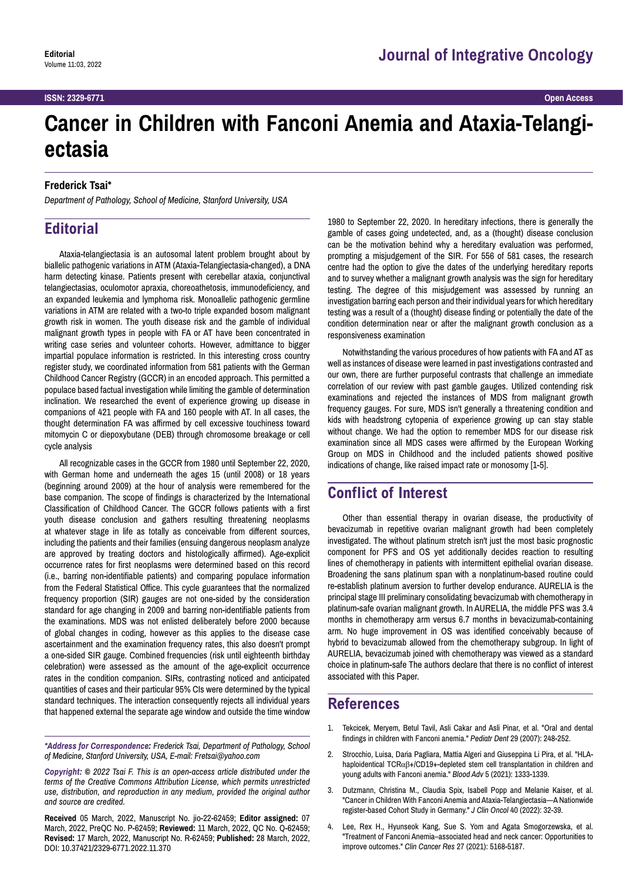# **Cancer in Children with Fanconi Anemia and Ataxia-Telangiectasia**

#### **Frederick Tsai\***

*Department of Pathology, School of Medicine, Stanford University, USA*

## **Editorial**

Ataxia-telangiectasia is an autosomal latent problem brought about by biallelic pathogenic variations in ATM (Ataxia-Telangiectasia-changed), a DNA harm detecting kinase. Patients present with cerebellar ataxia, conjunctival telangiectasias, oculomotor apraxia, choreoathetosis, immunodeficiency, and an expanded leukemia and lymphoma risk. Monoallelic pathogenic germline variations in ATM are related with a two-to triple expanded bosom malignant growth risk in women. The youth disease risk and the gamble of individual malignant growth types in people with FA or AT have been concentrated in writing case series and volunteer cohorts. However, admittance to bigger impartial populace information is restricted. In this interesting cross country register study, we coordinated information from 581 patients with the German Childhood Cancer Registry (GCCR) in an encoded approach. This permitted a populace based factual investigation while limiting the gamble of determination inclination. We researched the event of experience growing up disease in companions of 421 people with FA and 160 people with AT. In all cases, the thought determination FA was affirmed by cell excessive touchiness toward mitomycin C or diepoxybutane (DEB) through chromosome breakage or cell cycle analysis

All recognizable cases in the GCCR from 1980 until September 22, 2020, with German home and underneath the ages 15 (until 2008) or 18 years (beginning around 2009) at the hour of analysis were remembered for the base companion. The scope of findings is characterized by the International Classification of Childhood Cancer. The GCCR follows patients with a first youth disease conclusion and gathers resulting threatening neoplasms at whatever stage in life as totally as conceivable from different sources, including the patients and their families (ensuing dangerous neoplasm analyze are approved by treating doctors and histologically affirmed). Age-explicit occurrence rates for first neoplasms were determined based on this record (i.e., barring non-identifiable patients) and comparing populace information from the Federal Statistical Office. This cycle guarantees that the normalized frequency proportion (SIR) gauges are not one-sided by the consideration standard for age changing in 2009 and barring non-identifiable patients from the examinations. MDS was not enlisted deliberately before 2000 because of global changes in coding, however as this applies to the disease case ascertainment and the examination frequency rates, this also doesn't prompt a one-sided SIR gauge. Combined frequencies (risk until eighteenth birthday celebration) were assessed as the amount of the age-explicit occurrence rates in the condition companion. SIRs, contrasting noticed and anticipated quantities of cases and their particular 95% CIs were determined by the typical standard techniques. The interaction consequently rejects all individual years that happened external the separate age window and outside the time window

*\*Address for Correspondence: Frederick Tsai, Department of Pathology, School of Medicine, Stanford University, USA, E-mail: Fretsai@yahoo.com*

*Copyright: © 2022 Tsai F. This is an open-access article distributed under the terms of the Creative Commons Attribution License, which permits unrestricted use, distribution, and reproduction in any medium, provided the original author and source are credited.*

**Received** 05 March, 2022, Manuscript No. jio-22-62459; **Editor assigned:** 07 March, 2022, PreQC No. P-62459; **Reviewed:** 11 March, 2022, QC No. Q-62459; **Revised:** 17 March, 2022, Manuscript No. R-62459; **Published:** 28 March, 2022, DOI: 10.37421/2329-6771.2022.11.370

1980 to September 22, 2020. In hereditary infections, there is generally the gamble of cases going undetected, and, as a (thought) disease conclusion can be the motivation behind why a hereditary evaluation was performed, prompting a misjudgement of the SIR. For 556 of 581 cases, the research centre had the option to give the dates of the underlying hereditary reports and to survey whether a malignant growth analysis was the sign for hereditary testing. The degree of this misjudgement was assessed by running an investigation barring each person and their individual years for which hereditary testing was a result of a (thought) disease finding or potentially the date of the condition determination near or after the malignant growth conclusion as a responsiveness examination

Notwithstanding the various procedures of how patients with FA and AT as well as instances of disease were learned in past investigations contrasted and our own, there are further purposeful contrasts that challenge an immediate correlation of our review with past gamble gauges. Utilized contending risk examinations and rejected the instances of MDS from malignant growth frequency gauges. For sure, MDS isn't generally a threatening condition and kids with headstrong cytopenia of experience growing up can stay stable without change. We had the option to remember MDS for our disease risk examination since all MDS cases were affirmed by the European Working Group on MDS in Childhood and the included patients showed positive indications of change, like raised impact rate or monosomy [1-5].

### **Conflict of Interest**

Other than essential therapy in ovarian disease, the productivity of bevacizumab in repetitive ovarian malignant growth had been completely investigated. The without platinum stretch isn't just the most basic prognostic component for PFS and OS yet additionally decides reaction to resulting lines of chemotherapy in patients with intermittent epithelial ovarian disease. Broadening the sans platinum span with a nonplatinum-based routine could re-establish platinum aversion to further develop endurance. AURELIA is the principal stage III preliminary consolidating bevacizumab with chemotherapy in platinum-safe ovarian malignant growth. In AURELIA, the middle PFS was 3.4 months in chemotherapy arm versus 6.7 months in bevacizumab-containing arm. No huge improvement in OS was identified conceivably because of hybrid to bevacizumab allowed from the chemotherapy subgroup. In light of AURELIA, bevacizumab joined with chemotherapy was viewed as a standard choice in platinum-safe The authors declare that there is no conflict of interest associated with this Paper.

#### **References**

- 1. Tekcicek, Meryem, Betul Tavil, Asli Cakar and Asli Pinar, et al. ["Oral and dental](https://www.ingentaconnect.com/content/aapd/pd/2007/00000029/00000003/art00012)  [findings in children with Fanconi anemia.](https://www.ingentaconnect.com/content/aapd/pd/2007/00000029/00000003/art00012)" *Pediatr Dent* 29 (2007): 248-252.
- 2. Strocchio, Luisa, Daria Pagliara, Mattia Algeri and Giuseppina Li Pira, et al. ["HLA](https://ashpublications.org/bloodadvances/article-abstract/5/5/1333/475377)haploidentical TCRαβ[+/CD19+-depleted stem cell transplantation in children and](https://ashpublications.org/bloodadvances/article-abstract/5/5/1333/475377)  [young adults with Fanconi anemia.](https://ashpublications.org/bloodadvances/article-abstract/5/5/1333/475377)" *Blood Adv* 5 (2021): 1333-1339.
- 3. Dutzmann, Christina M., Claudia Spix, Isabell Popp and Melanie Kaiser, et al. "[Cancer in Children With Fanconi Anemia and Ataxia-Telangiectasia—A Nationwide](file:///C:\Users\laxmikanth-m\Desktop\Sharavi\jio-22-62459\Cancer in Children With Fanconi Anemia and Ataxia-Telangiectasia)  [register-based Cohort Study in Germany."](file:///C:\Users\laxmikanth-m\Desktop\Sharavi\jio-22-62459\Cancer in Children With Fanconi Anemia and Ataxia-Telangiectasia) *J Clin Oncol* 40 (2022): 32-39.
- 4. Lee, Rex H., Hyunseok Kang, Sue S. Yom and Agata Smogorzewska, et al. "[Treatment of Fanconi Anemia–associated head and neck cancer: Opportunities to](https://clincancerres.aacrjournals.org/content/27/19/5168.abstract)  [improve outcomes."](https://clincancerres.aacrjournals.org/content/27/19/5168.abstract) *Clin Cancer Res* 27 (2021): 5168-5187.